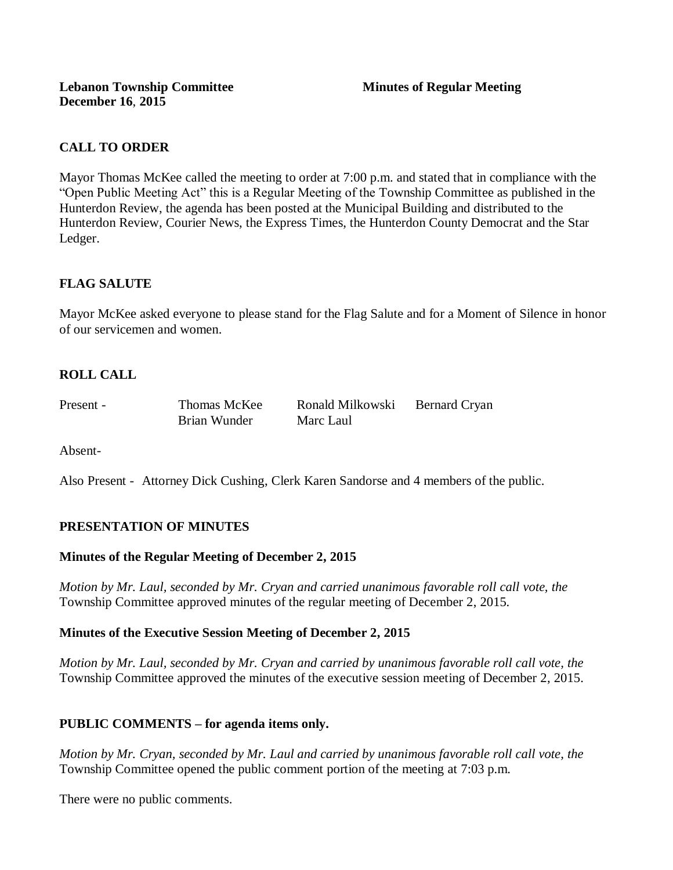# **CALL TO ORDER**

Mayor Thomas McKee called the meeting to order at 7:00 p.m. and stated that in compliance with the "Open Public Meeting Act" this is a Regular Meeting of the Township Committee as published in the Hunterdon Review, the agenda has been posted at the Municipal Building and distributed to the Hunterdon Review, Courier News, the Express Times, the Hunterdon County Democrat and the Star Ledger.

# **FLAG SALUTE**

Mayor McKee asked everyone to please stand for the Flag Salute and for a Moment of Silence in honor of our servicemen and women.

# **ROLL CALL**

| Present - | Thomas McKee | Ronald Milkowski | <b>Bernard Cryan</b> |
|-----------|--------------|------------------|----------------------|
|           | Brian Wunder | Marc Laul        |                      |

Absent-

Also Present - Attorney Dick Cushing, Clerk Karen Sandorse and 4 members of the public.

# **PRESENTATION OF MINUTES**

### **Minutes of the Regular Meeting of December 2, 2015**

*Motion by Mr. Laul, seconded by Mr. Cryan and carried unanimous favorable roll call vote, the*  Township Committee approved minutes of the regular meeting of December 2, 2015.

### **Minutes of the Executive Session Meeting of December 2, 2015**

*Motion by Mr. Laul, seconded by Mr. Cryan and carried by unanimous favorable roll call vote, the*  Township Committee approved the minutes of the executive session meeting of December 2, 2015.

# **PUBLIC COMMENTS – for agenda items only.**

*Motion by Mr. Cryan, seconded by Mr. Laul and carried by unanimous favorable roll call vote, the* Township Committee opened the public comment portion of the meeting at 7:03 p.m.

There were no public comments.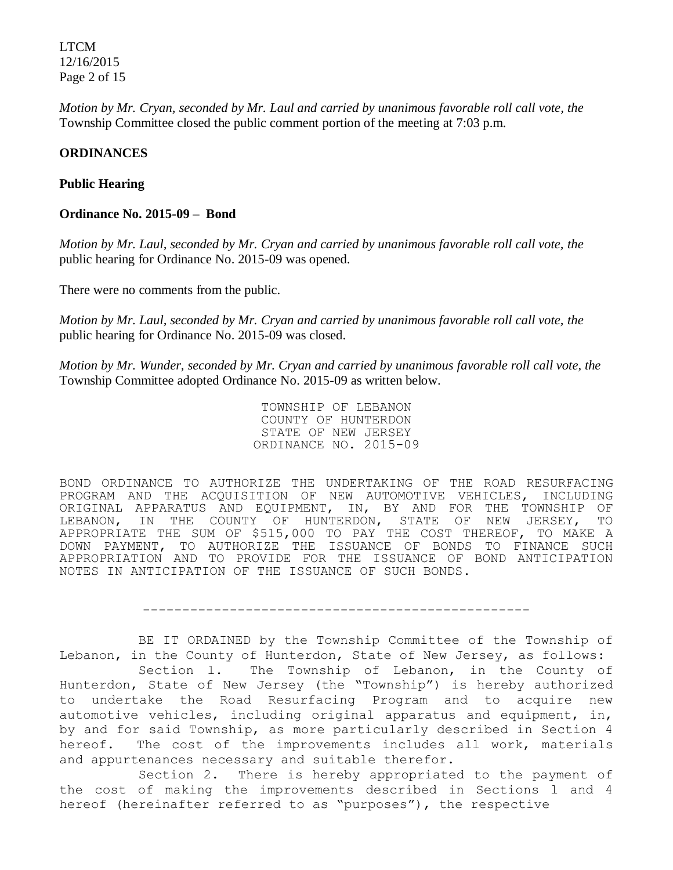LTCM 12/16/2015 Page 2 of 15

*Motion by Mr. Cryan, seconded by Mr. Laul and carried by unanimous favorable roll call vote, the* Township Committee closed the public comment portion of the meeting at 7:03 p.m.

### **ORDINANCES**

#### **Public Hearing**

#### **Ordinance No. 2015-09 – Bond**

*Motion by Mr. Laul, seconded by Mr. Cryan and carried by unanimous favorable roll call vote, the* public hearing for Ordinance No. 2015-09 was opened.

There were no comments from the public.

*Motion by Mr. Laul, seconded by Mr. Cryan and carried by unanimous favorable roll call vote, the* public hearing for Ordinance No. 2015-09 was closed.

*Motion by Mr. Wunder, seconded by Mr. Cryan and carried by unanimous favorable roll call vote, the*  Township Committee adopted Ordinance No. 2015-09 as written below.

> TOWNSHIP OF LEBANON COUNTY OF HUNTERDON STATE OF NEW JERSEY ORDINANCE NO. 2015-09

BOND ORDINANCE TO AUTHORIZE THE UNDERTAKING OF THE ROAD RESURFACING PROGRAM AND THE ACQUISITION OF NEW AUTOMOTIVE VEHICLES, INCLUDING ORIGINAL APPARATUS AND EQUIPMENT, IN, BY AND FOR THE TOWNSHIP OF LEBANON, IN THE COUNTY OF HUNTERDON, STATE OF NEW JERSEY, TO APPROPRIATE THE SUM OF \$515,000 TO PAY THE COST THEREOF, TO MAKE A DOWN PAYMENT, TO AUTHORIZE THE ISSUANCE OF BONDS TO FINANCE SUCH APPROPRIATION AND TO PROVIDE FOR THE ISSUANCE OF BOND ANTICIPATION NOTES IN ANTICIPATION OF THE ISSUANCE OF SUCH BONDS.

-------------------------------------------------

BE IT ORDAINED by the Township Committee of the Township of Lebanon, in the County of Hunterdon, State of New Jersey, as follows:

Section l. The Township of Lebanon, in the County of Hunterdon, State of New Jersey (the "Township") is hereby authorized to undertake the Road Resurfacing Program and to acquire new automotive vehicles, including original apparatus and equipment, in, by and for said Township, as more particularly described in Section 4 hereof. The cost of the improvements includes all work, materials and appurtenances necessary and suitable therefor.

Section 2. There is hereby appropriated to the payment of the cost of making the improvements described in Sections l and 4 hereof (hereinafter referred to as "purposes"), the respective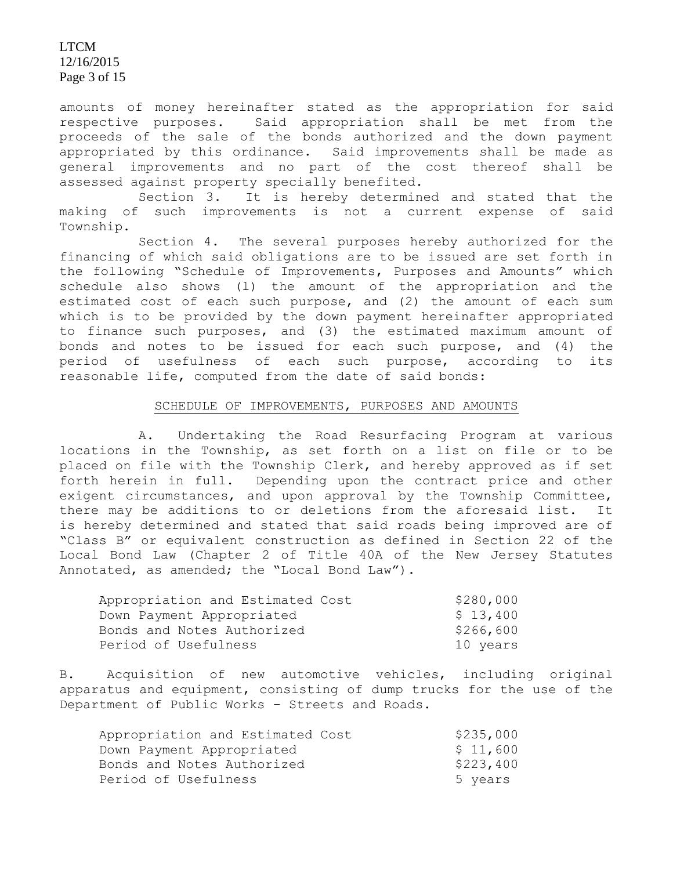LTCM 12/16/2015 Page 3 of 15

amounts of money hereinafter stated as the appropriation for said respective purposes. Said appropriation shall be met from the proceeds of the sale of the bonds authorized and the down payment appropriated by this ordinance. Said improvements shall be made as general improvements and no part of the cost thereof shall be assessed against property specially benefited.

Section 3. It is hereby determined and stated that the making of such improvements is not a current expense of said Township.

Section 4. The several purposes hereby authorized for the financing of which said obligations are to be issued are set forth in the following "Schedule of Improvements, Purposes and Amounts" which schedule also shows (l) the amount of the appropriation and the estimated cost of each such purpose, and (2) the amount of each sum which is to be provided by the down payment hereinafter appropriated to finance such purposes, and (3) the estimated maximum amount of bonds and notes to be issued for each such purpose, and (4) the period of usefulness of each such purpose, according to its reasonable life, computed from the date of said bonds:

#### SCHEDULE OF IMPROVEMENTS, PURPOSES AND AMOUNTS

A. Undertaking the Road Resurfacing Program at various locations in the Township, as set forth on a list on file or to be placed on file with the Township Clerk, and hereby approved as if set forth herein in full. Depending upon the contract price and other exigent circumstances, and upon approval by the Township Committee, there may be additions to or deletions from the aforesaid list. It is hereby determined and stated that said roads being improved are of "Class B" or equivalent construction as defined in Section 22 of the Local Bond Law (Chapter 2 of Title 40A of the New Jersey Statutes Annotated, as amended; the "Local Bond Law").

| Appropriation and Estimated Cost | \$280,000 |
|----------------------------------|-----------|
| Down Payment Appropriated        | \$13,400  |
| Bonds and Notes Authorized       | \$266,600 |
| Period of Usefulness             | 10 years  |

B. Acquisition of new automotive vehicles, including original apparatus and equipment, consisting of dump trucks for the use of the Department of Public Works – Streets and Roads.

| Appropriation and Estimated Cost | \$235,000 |
|----------------------------------|-----------|
| Down Payment Appropriated        | \$11,600  |
| Bonds and Notes Authorized       | \$223,400 |
| Period of Usefulness             | 5 years   |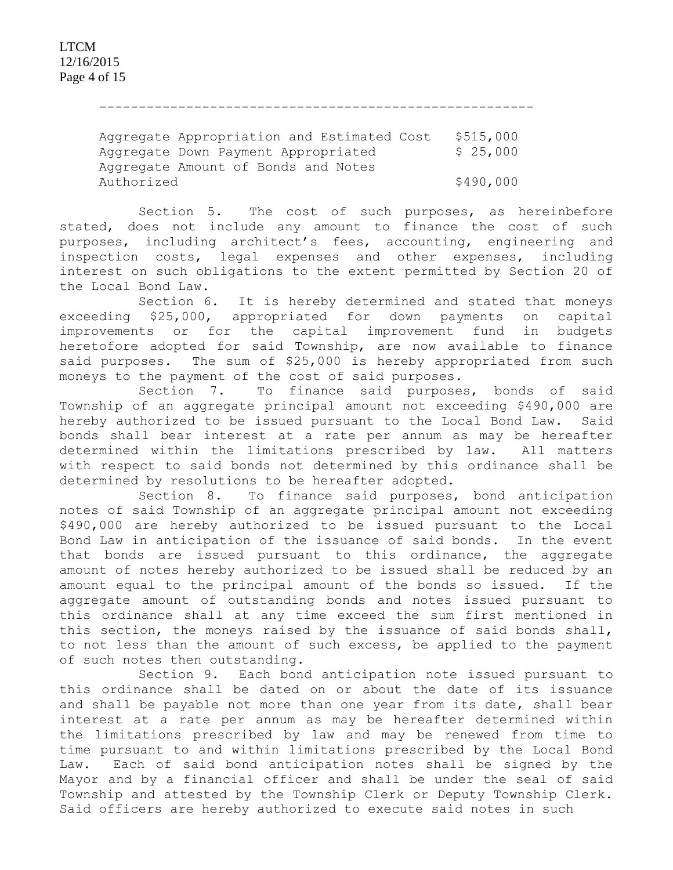-------------------------------------------------------

Aggregate Appropriation and Estimated Cost \$515,000 Aggregate Down Payment Appropriated \$ 25,000 Aggregate Amount of Bonds and Notes Authorized \$490,000

Section 5. The cost of such purposes, as hereinbefore stated, does not include any amount to finance the cost of such purposes, including architect's fees, accounting, engineering and inspection costs, legal expenses and other expenses, including interest on such obligations to the extent permitted by Section 20 of the Local Bond Law.

Section 6. It is hereby determined and stated that moneys exceeding \$25,000, appropriated for down payments on capital improvements or for the capital improvement fund in budgets heretofore adopted for said Township, are now available to finance said purposes. The sum of \$25,000 is hereby appropriated from such moneys to the payment of the cost of said purposes.

Section 7. To finance said purposes, bonds of said Township of an aggregate principal amount not exceeding \$490,000 are hereby authorized to be issued pursuant to the Local Bond Law. Said bonds shall bear interest at a rate per annum as may be hereafter determined within the limitations prescribed by law. All matters with respect to said bonds not determined by this ordinance shall be determined by resolutions to be hereafter adopted.

Section 8. To finance said purposes, bond anticipation notes of said Township of an aggregate principal amount not exceeding \$490,000 are hereby authorized to be issued pursuant to the Local Bond Law in anticipation of the issuance of said bonds. In the event that bonds are issued pursuant to this ordinance, the aggregate amount of notes hereby authorized to be issued shall be reduced by an amount equal to the principal amount of the bonds so issued. If the aggregate amount of outstanding bonds and notes issued pursuant to this ordinance shall at any time exceed the sum first mentioned in this section, the moneys raised by the issuance of said bonds shall, to not less than the amount of such excess, be applied to the payment of such notes then outstanding.

Section 9. Each bond anticipation note issued pursuant to this ordinance shall be dated on or about the date of its issuance and shall be payable not more than one year from its date, shall bear interest at a rate per annum as may be hereafter determined within the limitations prescribed by law and may be renewed from time to time pursuant to and within limitations prescribed by the Local Bond Law. Each of said bond anticipation notes shall be signed by the Mayor and by a financial officer and shall be under the seal of said Township and attested by the Township Clerk or Deputy Township Clerk. Said officers are hereby authorized to execute said notes in such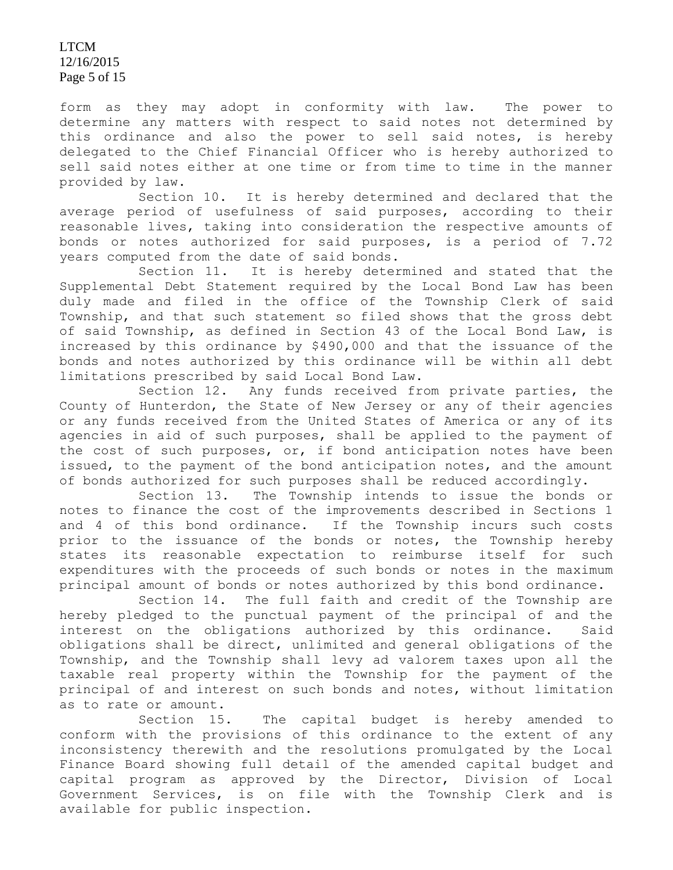LTCM 12/16/2015 Page 5 of 15

form as they may adopt in conformity with law. The power to determine any matters with respect to said notes not determined by this ordinance and also the power to sell said notes, is hereby delegated to the Chief Financial Officer who is hereby authorized to sell said notes either at one time or from time to time in the manner provided by law.

Section 10. It is hereby determined and declared that the average period of usefulness of said purposes, according to their reasonable lives, taking into consideration the respective amounts of bonds or notes authorized for said purposes, is a period of 7.72 years computed from the date of said bonds.

Section 11. It is hereby determined and stated that the Supplemental Debt Statement required by the Local Bond Law has been duly made and filed in the office of the Township Clerk of said Township, and that such statement so filed shows that the gross debt of said Township, as defined in Section 43 of the Local Bond Law, is increased by this ordinance by \$490,000 and that the issuance of the bonds and notes authorized by this ordinance will be within all debt limitations prescribed by said Local Bond Law.

Section 12. Any funds received from private parties, the County of Hunterdon, the State of New Jersey or any of their agencies or any funds received from the United States of America or any of its agencies in aid of such purposes, shall be applied to the payment of the cost of such purposes, or, if bond anticipation notes have been issued, to the payment of the bond anticipation notes, and the amount of bonds authorized for such purposes shall be reduced accordingly.

Section 13. The Township intends to issue the bonds or notes to finance the cost of the improvements described in Sections 1 and 4 of this bond ordinance. If the Township incurs such costs prior to the issuance of the bonds or notes, the Township hereby states its reasonable expectation to reimburse itself for such expenditures with the proceeds of such bonds or notes in the maximum principal amount of bonds or notes authorized by this bond ordinance.

Section 14. The full faith and credit of the Township are hereby pledged to the punctual payment of the principal of and the interest on the obligations authorized by this ordinance. Said obligations shall be direct, unlimited and general obligations of the Township, and the Township shall levy ad valorem taxes upon all the taxable real property within the Township for the payment of the principal of and interest on such bonds and notes, without limitation as to rate or amount.

Section 15. The capital budget is hereby amended to conform with the provisions of this ordinance to the extent of any inconsistency therewith and the resolutions promulgated by the Local Finance Board showing full detail of the amended capital budget and capital program as approved by the Director, Division of Local Government Services, is on file with the Township Clerk and is available for public inspection.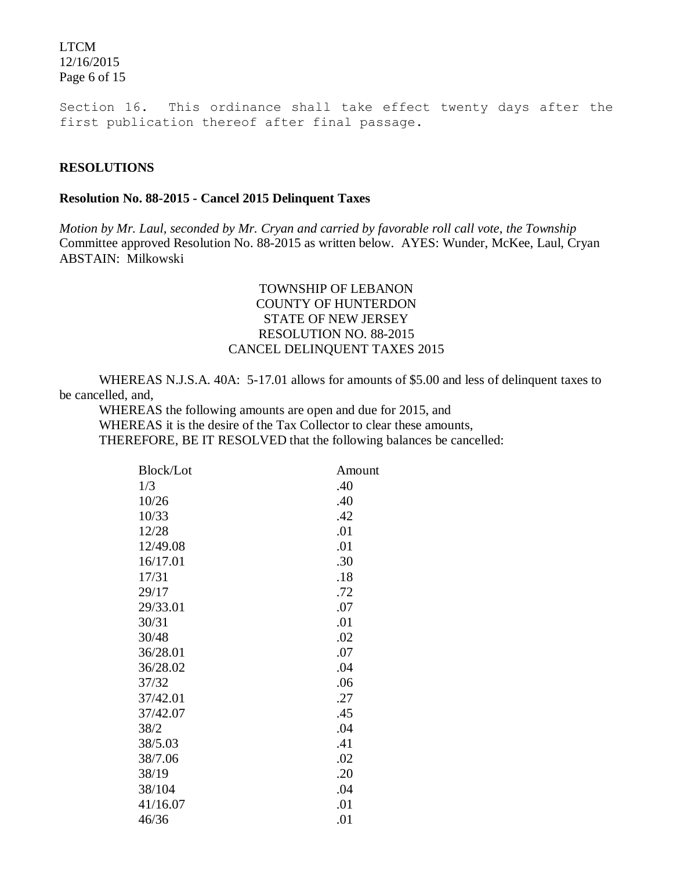LTCM 12/16/2015 Page 6 of 15

Section 16. This ordinance shall take effect twenty days after the first publication thereof after final passage.

#### **RESOLUTIONS**

#### **Resolution No. 88-2015 - Cancel 2015 Delinquent Taxes**

*Motion by Mr. Laul, seconded by Mr. Cryan and carried by favorable roll call vote*, *the Township* Committee approved Resolution No. 88-2015 as written below. AYES: Wunder, McKee, Laul, Cryan ABSTAIN: Milkowski

### TOWNSHIP OF LEBANON COUNTY OF HUNTERDON STATE OF NEW JERSEY RESOLUTION NO. 88-2015 CANCEL DELINQUENT TAXES 2015

WHEREAS N.J.S.A. 40A: 5-17.01 allows for amounts of \$5.00 and less of delinquent taxes to be cancelled, and,

WHEREAS the following amounts are open and due for 2015, and WHEREAS it is the desire of the Tax Collector to clear these amounts, THEREFORE, BE IT RESOLVED that the following balances be cancelled:

| <b>Block/Lot</b> | Amount |
|------------------|--------|
| 1/3              | .40    |
| 10/26            | .40    |
| 10/33            | .42    |
| 12/28            | .01    |
| 12/49.08         | .01    |
| 16/17.01         | .30    |
| 17/31            | .18    |
| 29/17            | .72    |
| 29/33.01         | .07    |
| 30/31            | .01    |
| 30/48            | .02    |
| 36/28.01         | .07    |
| 36/28.02         | .04    |
| 37/32            | .06    |
| 37/42.01         | .27    |
| 37/42.07         | .45    |
| 38/2             | .04    |
| 38/5.03          | .41    |
| 38/7.06          | .02    |
| 38/19            | .20    |
| 38/104           | .04    |
| 41/16.07         | .01    |
| 46/36            | .01    |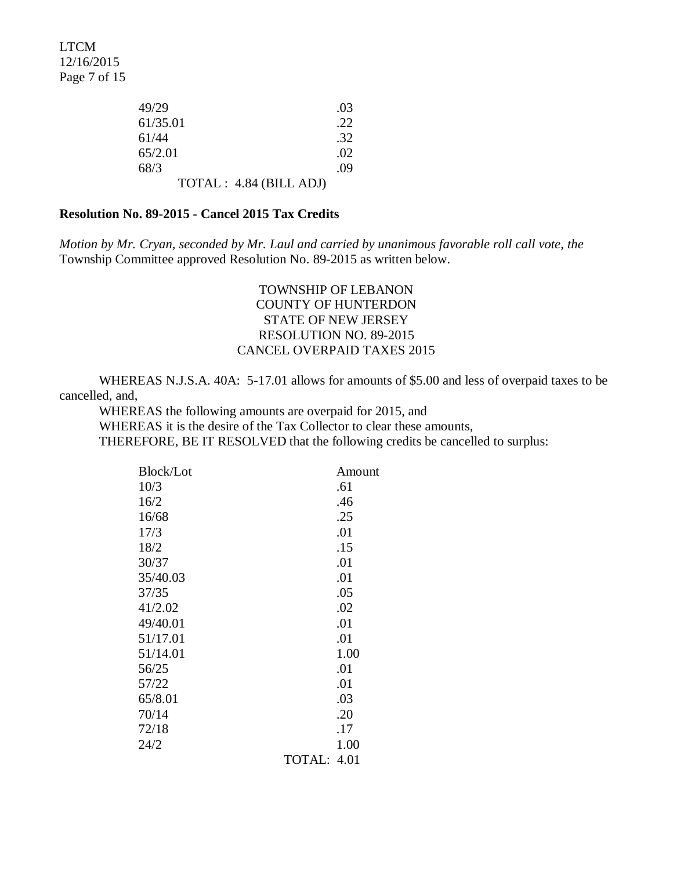LTCM 12/16/2015 Page 7 of 15

| 49/29                   | .03 |
|-------------------------|-----|
| 61/35.01                | .22 |
| 61/44                   | .32 |
| 65/2.01                 | .02 |
| 68/3                    | .09 |
| TOTAL : 4.84 (BILL ADJ) |     |

#### **Resolution No. 89-2015 - Cancel 2015 Tax Credits**

*Motion by Mr. Cryan, seconded by Mr. Laul and carried by unanimous favorable roll call vote*, *the* Township Committee approved Resolution No. 89-2015 as written below.

## TOWNSHIP OF LEBANON COUNTY OF HUNTERDON STATE OF NEW JERSEY RESOLUTION NO. 89-2015 CANCEL OVERPAID TAXES 2015

WHEREAS N.J.S.A. 40A: 5-17.01 allows for amounts of \$5.00 and less of overpaid taxes to be cancelled, and,

WHEREAS the following amounts are overpaid for 2015, and WHEREAS it is the desire of the Tax Collector to clear these amounts, THEREFORE, BE IT RESOLVED that the following credits be cancelled to surplus:

| <b>Block/Lot</b> | Amount      |
|------------------|-------------|
| 10/3             | .61         |
| 16/2             | .46         |
| 16/68            | .25         |
| 17/3             | .01         |
| 18/2             | .15         |
| 30/37            | .01         |
| 35/40.03         | .01         |
| 37/35            | .05         |
| 41/2.02          | .02         |
| 49/40.01         | .01         |
| 51/17.01         | .01         |
| 51/14.01         | 1.00        |
| 56/25            | .01         |
| 57/22            | .01         |
| 65/8.01          | .03         |
| 70/14            | .20         |
| 72/18            | .17         |
| 24/2             | 1.00        |
|                  | TOTAL: 4.01 |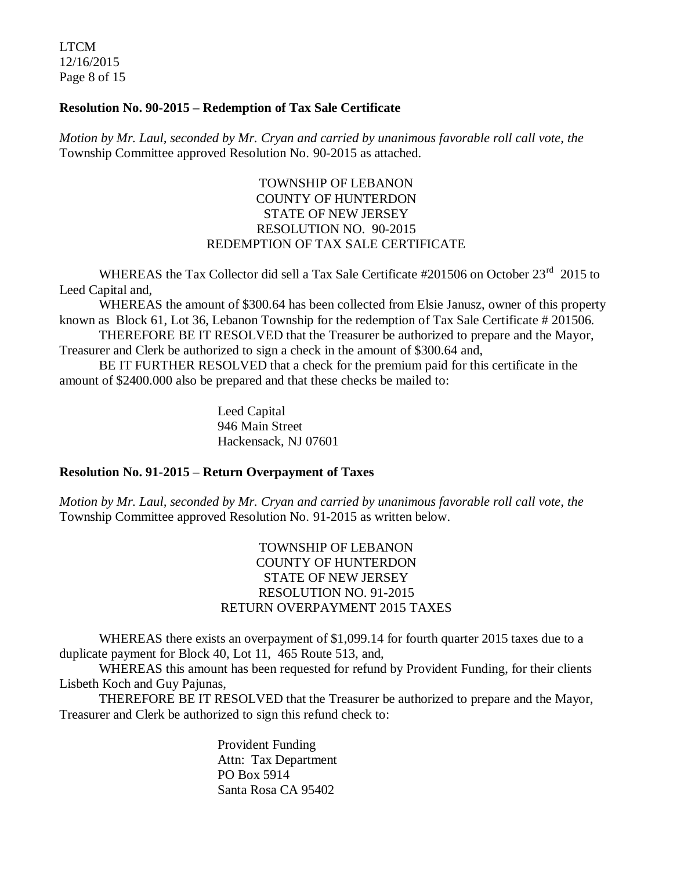LTCM 12/16/2015 Page 8 of 15

### **Resolution No. 90-2015 – Redemption of Tax Sale Certificate**

*Motion by Mr. Laul, seconded by Mr. Cryan and carried by unanimous favorable roll call vote*, *the* Township Committee approved Resolution No. 90-2015 as attached.

## TOWNSHIP OF LEBANON COUNTY OF HUNTERDON STATE OF NEW JERSEY RESOLUTION NO. 90-2015 REDEMPTION OF TAX SALE CERTIFICATE

WHEREAS the Tax Collector did sell a Tax Sale Certificate #201506 on October 23<sup>rd</sup> 2015 to Leed Capital and,

WHEREAS the amount of \$300.64 has been collected from Elsie Janusz, owner of this property known as Block 61, Lot 36, Lebanon Township for the redemption of Tax Sale Certificate # 201506.

THEREFORE BE IT RESOLVED that the Treasurer be authorized to prepare and the Mayor, Treasurer and Clerk be authorized to sign a check in the amount of \$300.64 and,

BE IT FURTHER RESOLVED that a check for the premium paid for this certificate in the amount of \$2400.000 also be prepared and that these checks be mailed to:

> Leed Capital 946 Main Street Hackensack, NJ 07601

#### **Resolution No. 91-2015 – Return Overpayment of Taxes**

*Motion by Mr. Laul, seconded by Mr. Cryan and carried by unanimous favorable roll call vote*, *the* Township Committee approved Resolution No. 91-2015 as written below.

## TOWNSHIP OF LEBANON COUNTY OF HUNTERDON STATE OF NEW JERSEY RESOLUTION NO. 91-2015 RETURN OVERPAYMENT 2015 TAXES

WHEREAS there exists an overpayment of \$1,099.14 for fourth quarter 2015 taxes due to a duplicate payment for Block 40, Lot 11, 465 Route 513, and,

WHEREAS this amount has been requested for refund by Provident Funding, for their clients Lisbeth Koch and Guy Pajunas,

THEREFORE BE IT RESOLVED that the Treasurer be authorized to prepare and the Mayor, Treasurer and Clerk be authorized to sign this refund check to:

> Provident Funding Attn: Tax Department PO Box 5914 Santa Rosa CA 95402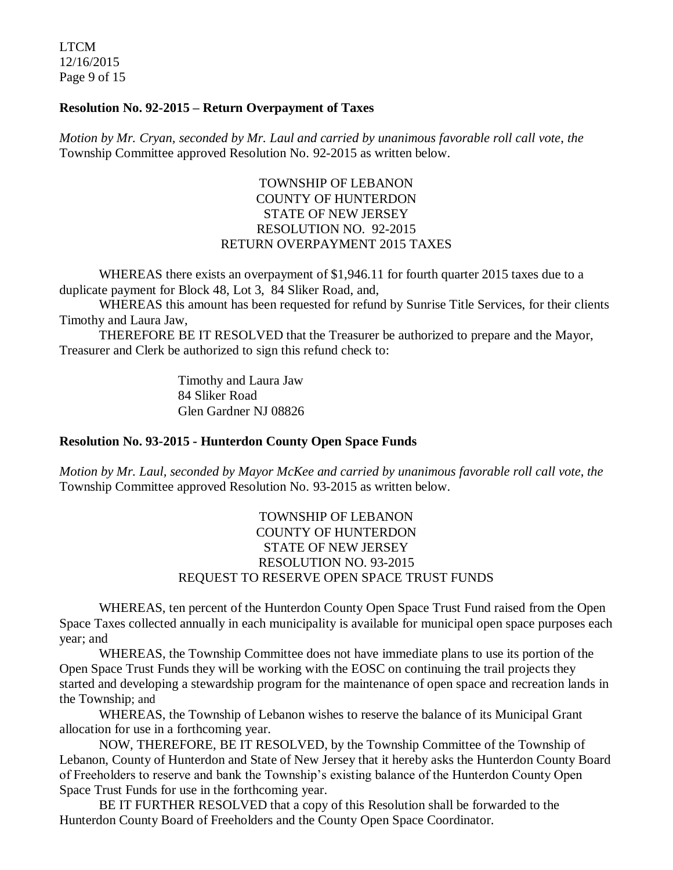LTCM 12/16/2015 Page 9 of 15

#### **Resolution No. 92-2015 – Return Overpayment of Taxes**

*Motion by Mr. Cryan, seconded by Mr. Laul and carried by unanimous favorable roll call vote*, *the* Township Committee approved Resolution No. 92-2015 as written below.

## TOWNSHIP OF LEBANON COUNTY OF HUNTERDON STATE OF NEW JERSEY RESOLUTION NO. 92-2015 RETURN OVERPAYMENT 2015 TAXES

WHEREAS there exists an overpayment of \$1,946.11 for fourth quarter 2015 taxes due to a duplicate payment for Block 48, Lot 3, 84 Sliker Road, and,

WHEREAS this amount has been requested for refund by Sunrise Title Services, for their clients Timothy and Laura Jaw,

THEREFORE BE IT RESOLVED that the Treasurer be authorized to prepare and the Mayor, Treasurer and Clerk be authorized to sign this refund check to:

> Timothy and Laura Jaw 84 Sliker Road Glen Gardner NJ 08826

#### **Resolution No. 93-2015 - Hunterdon County Open Space Funds**

*Motion by Mr. Laul, seconded by Mayor McKee and carried by unanimous favorable roll call vote*, *the* Township Committee approved Resolution No. 93-2015 as written below.

## TOWNSHIP OF LEBANON COUNTY OF HUNTERDON STATE OF NEW JERSEY RESOLUTION NO. 93-2015 REQUEST TO RESERVE OPEN SPACE TRUST FUNDS

WHEREAS, ten percent of the Hunterdon County Open Space Trust Fund raised from the Open Space Taxes collected annually in each municipality is available for municipal open space purposes each year; and

WHEREAS, the Township Committee does not have immediate plans to use its portion of the Open Space Trust Funds they will be working with the EOSC on continuing the trail projects they started and developing a stewardship program for the maintenance of open space and recreation lands in the Township; and

WHEREAS, the Township of Lebanon wishes to reserve the balance of its Municipal Grant allocation for use in a forthcoming year.

NOW, THEREFORE, BE IT RESOLVED, by the Township Committee of the Township of Lebanon, County of Hunterdon and State of New Jersey that it hereby asks the Hunterdon County Board of Freeholders to reserve and bank the Township's existing balance of the Hunterdon County Open Space Trust Funds for use in the forthcoming year.

BE IT FURTHER RESOLVED that a copy of this Resolution shall be forwarded to the Hunterdon County Board of Freeholders and the County Open Space Coordinator.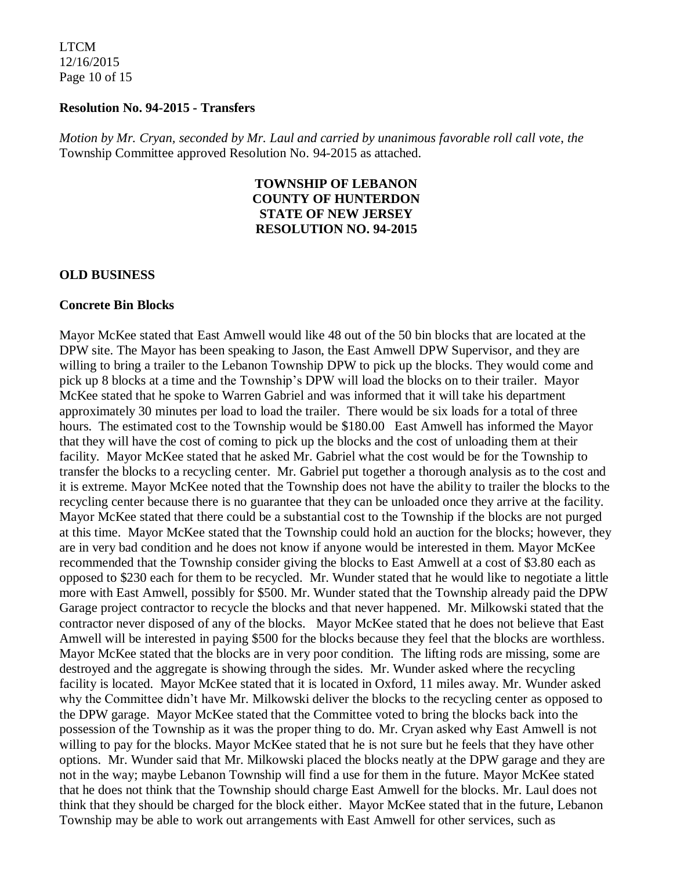LTCM 12/16/2015 Page 10 of 15

#### **Resolution No. 94-2015 - Transfers**

*Motion by Mr. Cryan, seconded by Mr. Laul and carried by unanimous favorable roll call vote*, *the* Township Committee approved Resolution No. 94-2015 as attached.

### **TOWNSHIP OF LEBANON COUNTY OF HUNTERDON STATE OF NEW JERSEY RESOLUTION NO. 94-2015**

#### **OLD BUSINESS**

#### **Concrete Bin Blocks**

Mayor McKee stated that East Amwell would like 48 out of the 50 bin blocks that are located at the DPW site. The Mayor has been speaking to Jason, the East Amwell DPW Supervisor, and they are willing to bring a trailer to the Lebanon Township DPW to pick up the blocks. They would come and pick up 8 blocks at a time and the Township's DPW will load the blocks on to their trailer. Mayor McKee stated that he spoke to Warren Gabriel and was informed that it will take his department approximately 30 minutes per load to load the trailer. There would be six loads for a total of three hours. The estimated cost to the Township would be \$180.00 East Amwell has informed the Mayor that they will have the cost of coming to pick up the blocks and the cost of unloading them at their facility. Mayor McKee stated that he asked Mr. Gabriel what the cost would be for the Township to transfer the blocks to a recycling center. Mr. Gabriel put together a thorough analysis as to the cost and it is extreme. Mayor McKee noted that the Township does not have the ability to trailer the blocks to the recycling center because there is no guarantee that they can be unloaded once they arrive at the facility. Mayor McKee stated that there could be a substantial cost to the Township if the blocks are not purged at this time. Mayor McKee stated that the Township could hold an auction for the blocks; however, they are in very bad condition and he does not know if anyone would be interested in them. Mayor McKee recommended that the Township consider giving the blocks to East Amwell at a cost of \$3.80 each as opposed to \$230 each for them to be recycled. Mr. Wunder stated that he would like to negotiate a little more with East Amwell, possibly for \$500. Mr. Wunder stated that the Township already paid the DPW Garage project contractor to recycle the blocks and that never happened. Mr. Milkowski stated that the contractor never disposed of any of the blocks. Mayor McKee stated that he does not believe that East Amwell will be interested in paying \$500 for the blocks because they feel that the blocks are worthless. Mayor McKee stated that the blocks are in very poor condition. The lifting rods are missing, some are destroyed and the aggregate is showing through the sides. Mr. Wunder asked where the recycling facility is located. Mayor McKee stated that it is located in Oxford, 11 miles away. Mr. Wunder asked why the Committee didn't have Mr. Milkowski deliver the blocks to the recycling center as opposed to the DPW garage. Mayor McKee stated that the Committee voted to bring the blocks back into the possession of the Township as it was the proper thing to do. Mr. Cryan asked why East Amwell is not willing to pay for the blocks. Mayor McKee stated that he is not sure but he feels that they have other options. Mr. Wunder said that Mr. Milkowski placed the blocks neatly at the DPW garage and they are not in the way; maybe Lebanon Township will find a use for them in the future. Mayor McKee stated that he does not think that the Township should charge East Amwell for the blocks. Mr. Laul does not think that they should be charged for the block either. Mayor McKee stated that in the future, Lebanon Township may be able to work out arrangements with East Amwell for other services, such as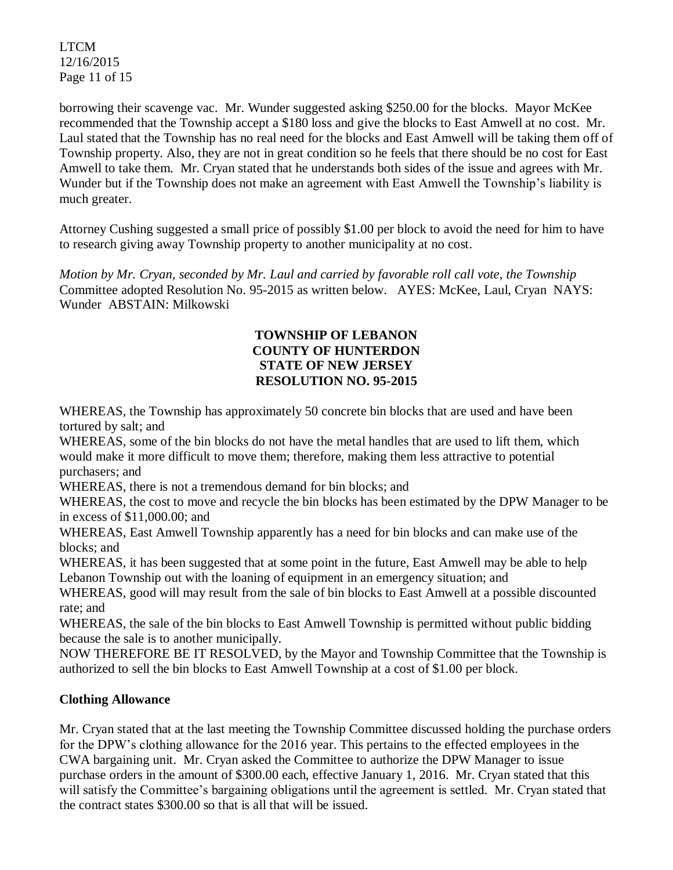LTCM 12/16/2015 Page 11 of 15

borrowing their scavenge vac. Mr. Wunder suggested asking \$250.00 for the blocks. Mayor McKee recommended that the Township accept a \$180 loss and give the blocks to East Amwell at no cost. Mr. Laul stated that the Township has no real need for the blocks and East Amwell will be taking them off of Township property. Also, they are not in great condition so he feels that there should be no cost for East Amwell to take them. Mr. Cryan stated that he understands both sides of the issue and agrees with Mr. Wunder but if the Township does not make an agreement with East Amwell the Township's liability is much greater.

Attorney Cushing suggested a small price of possibly \$1.00 per block to avoid the need for him to have to research giving away Township property to another municipality at no cost.

*Motion by Mr. Cryan, seconded by Mr. Laul and carried by favorable roll call vote*, *the Township*  Committee adopted Resolution No. 95-2015 as written below. AYES: McKee, Laul, Cryan NAYS: Wunder ABSTAIN: Milkowski

# **TOWNSHIP OF LEBANON COUNTY OF HUNTERDON STATE OF NEW JERSEY RESOLUTION NO. 95-2015**

WHEREAS, the Township has approximately 50 concrete bin blocks that are used and have been tortured by salt; and

WHEREAS, some of the bin blocks do not have the metal handles that are used to lift them, which would make it more difficult to move them; therefore, making them less attractive to potential purchasers; and

WHEREAS, there is not a tremendous demand for bin blocks; and

WHEREAS, the cost to move and recycle the bin blocks has been estimated by the DPW Manager to be in excess of \$11,000.00; and

WHEREAS, East Amwell Township apparently has a need for bin blocks and can make use of the blocks; and

WHEREAS, it has been suggested that at some point in the future, East Amwell may be able to help Lebanon Township out with the loaning of equipment in an emergency situation; and

WHEREAS, good will may result from the sale of bin blocks to East Amwell at a possible discounted rate; and

WHEREAS, the sale of the bin blocks to East Amwell Township is permitted without public bidding because the sale is to another municipally.

NOW THEREFORE BE IT RESOLVED, by the Mayor and Township Committee that the Township is authorized to sell the bin blocks to East Amwell Township at a cost of \$1.00 per block.

# **Clothing Allowance**

Mr. Cryan stated that at the last meeting the Township Committee discussed holding the purchase orders for the DPW's clothing allowance for the 2016 year. This pertains to the effected employees in the CWA bargaining unit. Mr. Cryan asked the Committee to authorize the DPW Manager to issue purchase orders in the amount of \$300.00 each, effective January 1, 2016. Mr. Cryan stated that this will satisfy the Committee's bargaining obligations until the agreement is settled. Mr. Cryan stated that the contract states \$300.00 so that is all that will be issued.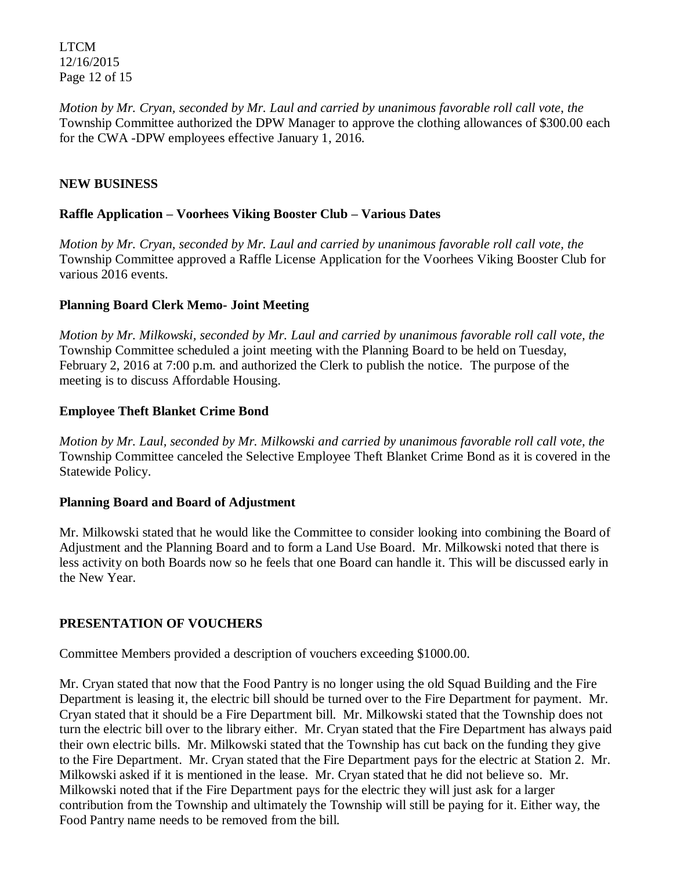LTCM 12/16/2015 Page 12 of 15

*Motion by Mr. Cryan, seconded by Mr. Laul and carried by unanimous favorable roll call vote*, *the* Township Committee authorized the DPW Manager to approve the clothing allowances of \$300.00 each for the CWA -DPW employees effective January 1, 2016.

## **NEW BUSINESS**

### **Raffle Application – Voorhees Viking Booster Club – Various Dates**

*Motion by Mr. Cryan, seconded by Mr. Laul and carried by unanimous favorable roll call vote, the* Township Committee approved a Raffle License Application for the Voorhees Viking Booster Club for various 2016 events.

## **Planning Board Clerk Memo- Joint Meeting**

*Motion by Mr. Milkowski, seconded by Mr. Laul and carried by unanimous favorable roll call vote, the* Township Committee scheduled a joint meeting with the Planning Board to be held on Tuesday, February 2, 2016 at 7:00 p.m. and authorized the Clerk to publish the notice. The purpose of the meeting is to discuss Affordable Housing.

## **Employee Theft Blanket Crime Bond**

*Motion by Mr. Laul, seconded by Mr. Milkowski and carried by unanimous favorable roll call vote, the* Township Committee canceled the Selective Employee Theft Blanket Crime Bond as it is covered in the Statewide Policy.

### **Planning Board and Board of Adjustment**

Mr. Milkowski stated that he would like the Committee to consider looking into combining the Board of Adjustment and the Planning Board and to form a Land Use Board. Mr. Milkowski noted that there is less activity on both Boards now so he feels that one Board can handle it. This will be discussed early in the New Year.

# **PRESENTATION OF VOUCHERS**

Committee Members provided a description of vouchers exceeding \$1000.00.

Mr. Cryan stated that now that the Food Pantry is no longer using the old Squad Building and the Fire Department is leasing it, the electric bill should be turned over to the Fire Department for payment. Mr. Cryan stated that it should be a Fire Department bill. Mr. Milkowski stated that the Township does not turn the electric bill over to the library either. Mr. Cryan stated that the Fire Department has always paid their own electric bills. Mr. Milkowski stated that the Township has cut back on the funding they give to the Fire Department. Mr. Cryan stated that the Fire Department pays for the electric at Station 2. Mr. Milkowski asked if it is mentioned in the lease. Mr. Cryan stated that he did not believe so. Mr. Milkowski noted that if the Fire Department pays for the electric they will just ask for a larger contribution from the Township and ultimately the Township will still be paying for it. Either way, the Food Pantry name needs to be removed from the bill.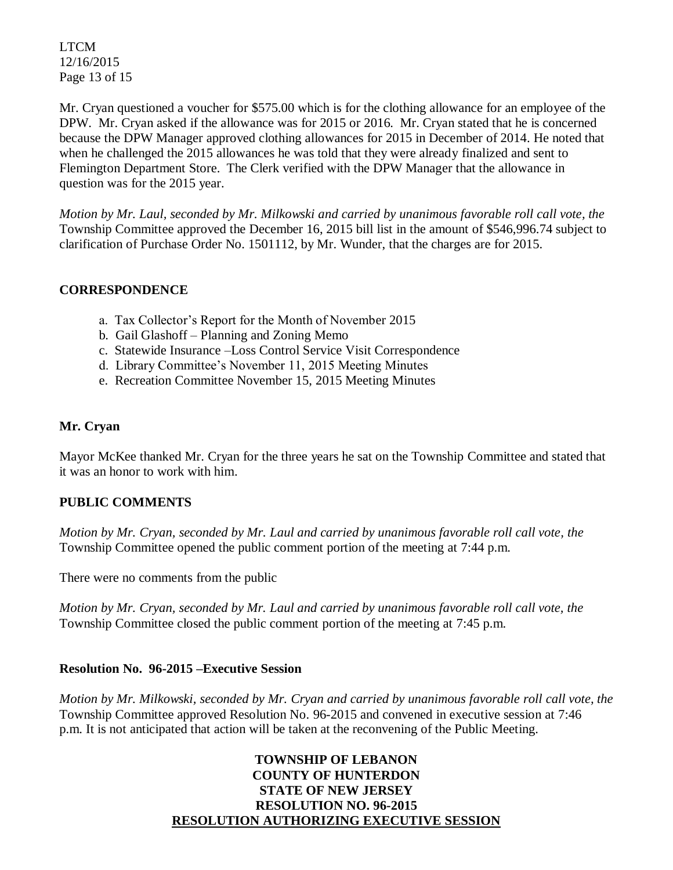LTCM 12/16/2015 Page 13 of 15

Mr. Cryan questioned a voucher for \$575.00 which is for the clothing allowance for an employee of the DPW. Mr. Cryan asked if the allowance was for 2015 or 2016. Mr. Cryan stated that he is concerned because the DPW Manager approved clothing allowances for 2015 in December of 2014. He noted that when he challenged the 2015 allowances he was told that they were already finalized and sent to Flemington Department Store. The Clerk verified with the DPW Manager that the allowance in question was for the 2015 year.

*Motion by Mr. Laul, seconded by Mr. Milkowski and carried by unanimous favorable roll call vote, the* Township Committee approved the December 16, 2015 bill list in the amount of \$546,996.74 subject to clarification of Purchase Order No. 1501112, by Mr. Wunder, that the charges are for 2015.

# **CORRESPONDENCE**

- a. Tax Collector's Report for the Month of November 2015
- b. Gail Glashoff Planning and Zoning Memo
- c. Statewide Insurance –Loss Control Service Visit Correspondence
- d. Library Committee's November 11, 2015 Meeting Minutes
- e. Recreation Committee November 15, 2015 Meeting Minutes

## **Mr. Cryan**

Mayor McKee thanked Mr. Cryan for the three years he sat on the Township Committee and stated that it was an honor to work with him.

# **PUBLIC COMMENTS**

*Motion by Mr. Cryan, seconded by Mr. Laul and carried by unanimous favorable roll call vote, the* Township Committee opened the public comment portion of the meeting at 7:44 p.m.

There were no comments from the public

*Motion by Mr. Cryan, seconded by Mr. Laul and carried by unanimous favorable roll call vote, the* Township Committee closed the public comment portion of the meeting at 7:45 p.m.

# **Resolution No. 96-2015 –Executive Session**

*Motion by Mr. Milkowski, seconded by Mr. Cryan and carried by unanimous favorable roll call vote, the* Township Committee approved Resolution No. 96-2015 and convened in executive session at 7:46 p.m. It is not anticipated that action will be taken at the reconvening of the Public Meeting.

## **TOWNSHIP OF LEBANON COUNTY OF HUNTERDON STATE OF NEW JERSEY RESOLUTION NO. 96-2015 RESOLUTION AUTHORIZING EXECUTIVE SESSION**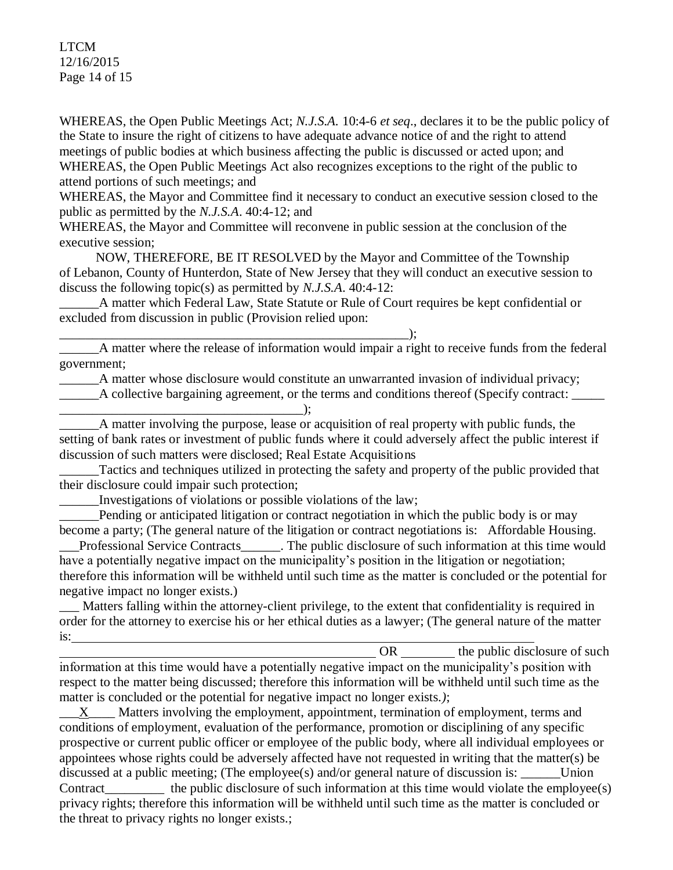## LTCM 12/16/2015 Page 14 of 15

WHEREAS, the Open Public Meetings Act; *N.J.S.A.* 10:4-6 *et seq*., declares it to be the public policy of the State to insure the right of citizens to have adequate advance notice of and the right to attend meetings of public bodies at which business affecting the public is discussed or acted upon; and WHEREAS, the Open Public Meetings Act also recognizes exceptions to the right of the public to attend portions of such meetings; and

WHEREAS, the Mayor and Committee find it necessary to conduct an executive session closed to the public as permitted by the *N.J.S.A*. 40:4-12; and

WHEREAS, the Mayor and Committee will reconvene in public session at the conclusion of the executive session;

 NOW, THEREFORE, BE IT RESOLVED by the Mayor and Committee of the Township of Lebanon, County of Hunterdon, State of New Jersey that they will conduct an executive session to discuss the following topic(s) as permitted by *N.J.S.A*. 40:4-12:

A matter which Federal Law, State Statute or Rule of Court requires be kept confidential or excluded from discussion in public (Provision relied upon:

\_\_\_\_\_\_\_\_\_\_\_\_\_\_\_\_\_\_\_\_\_\_\_\_\_\_\_\_\_\_\_\_\_\_\_\_\_\_\_\_\_\_\_\_\_\_\_\_\_\_\_\_\_); \_\_\_\_\_\_A matter where the release of information would impair a right to receive funds from the federal government;

A matter whose disclosure would constitute an unwarranted invasion of individual privacy;

\_\_\_\_\_\_A collective bargaining agreement, or the terms and conditions thereof (Specify contract: \_\_\_\_\_

\_\_\_\_\_\_\_\_\_\_\_\_\_\_\_\_\_\_\_\_\_\_\_\_\_\_\_\_\_\_\_\_\_\_\_\_\_); A matter involving the purpose, lease or acquisition of real property with public funds, the setting of bank rates or investment of public funds where it could adversely affect the public interest if discussion of such matters were disclosed; Real Estate Acquisitions

Tactics and techniques utilized in protecting the safety and property of the public provided that their disclosure could impair such protection;

\_\_\_\_\_\_Investigations of violations or possible violations of the law;

Pending or anticipated litigation or contract negotiation in which the public body is or may become a party; (The general nature of the litigation or contract negotiations is: Affordable Housing.

Professional Service Contracts The public disclosure of such information at this time would have a potentially negative impact on the municipality's position in the litigation or negotiation; therefore this information will be withheld until such time as the matter is concluded or the potential for negative impact no longer exists.)

Matters falling within the attorney-client privilege, to the extent that confidentiality is required in order for the attorney to exercise his or her ethical duties as a lawyer; (The general nature of the matter is:

OR the public disclosure of such  $\theta$ information at this time would have a potentially negative impact on the municipality's position with respect to the matter being discussed; therefore this information will be withheld until such time as the matter is concluded or the potential for negative impact no longer exists.*)*;

X\_\_\_\_ Matters involving the employment, appointment, termination of employment, terms and conditions of employment, evaluation of the performance, promotion or disciplining of any specific prospective or current public officer or employee of the public body, where all individual employees or appointees whose rights could be adversely affected have not requested in writing that the matter(s) be discussed at a public meeting; (The employee(s) and/or general nature of discussion is: \_\_\_\_\_\_\_ Union Contract the public disclosure of such information at this time would violate the employee(s) privacy rights; therefore this information will be withheld until such time as the matter is concluded or the threat to privacy rights no longer exists.;